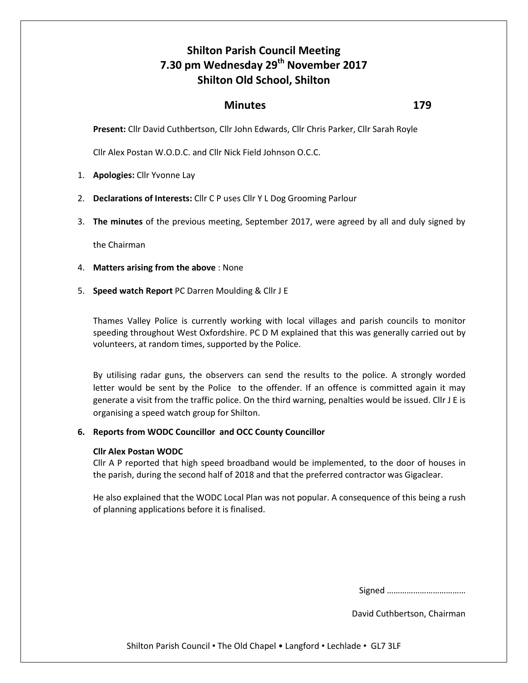# **Shilton Parish Council Meeting 7.30 pm Wednesday 29th November 2017 Shilton Old School, Shilton**

## *Minutes* 179

**Present:** Cllr David Cuthbertson, Cllr John Edwards, Cllr Chris Parker, Cllr Sarah Royle

Cllr Alex Postan W.O.D.C. and Cllr Nick Field Johnson O.C.C.

- 1. **Apologies:** Cllr Yvonne Lay
- 2. **Declarations of Interests:** Cllr C P uses Cllr Y L Dog Grooming Parlour
- 3. **The minutes** of the previous meeting, September 2017, were agreed by all and duly signed by

the Chairman

- 4. **Matters arising from the above** : None
- 5. **Speed watch Report** PC Darren Moulding & Cllr J E

Thames Valley Police is currently working with local villages and parish councils to monitor speeding throughout West Oxfordshire. PC D M explained that this was generally carried out by volunteers, at random times, supported by the Police.

By utilising radar guns, the observers can send the results to the police. A strongly worded letter would be sent by the Police to the offender. If an offence is committed again it may generate a visit from the traffic police. On the third warning, penalties would be issued. Cllr J E is organising a speed watch group for Shilton.

#### **6. Reports from WODC Councillor and OCC County Councillor**

#### **Cllr Alex Postan WODC**

Cllr A P reported that high speed broadband would be implemented, to the door of houses in the parish, during the second half of 2018 and that the preferred contractor was Gigaclear.

He also explained that the WODC Local Plan was not popular. A consequence of this being a rush of planning applications before it is finalised.

Signed ………………………………

David Cuthbertson, Chairman

Shilton Parish Council • The Old Chapel • Langford • Lechlade • GL7 3LF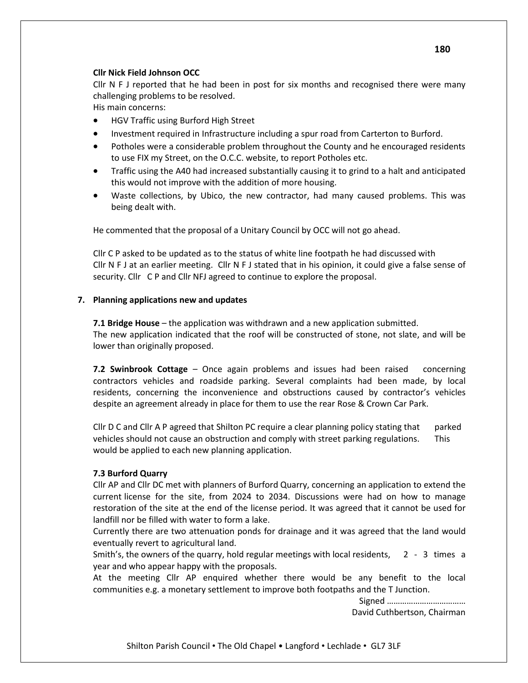## **Cllr Nick Field Johnson OCC**

Cllr N F J reported that he had been in post for six months and recognised there were many challenging problems to be resolved.

His main concerns:

- HGV Traffic using Burford High Street
- **Investment required in Infrastructure including a spur road from Carterton to Burford.**
- Potholes were a considerable problem throughout the County and he encouraged residents to use FIX my Street, on the O.C.C. website, to report Potholes etc.
- Traffic using the A40 had increased substantially causing it to grind to a halt and anticipated this would not improve with the addition of more housing.
- Waste collections, by Ubico, the new contractor, had many caused problems. This was being dealt with.

He commented that the proposal of a Unitary Council by OCC will not go ahead.

Cllr C P asked to be updated as to the status of white line footpath he had discussed with Cllr N F J at an earlier meeting. Cllr N F J stated that in his opinion, it could give a false sense of security. Cllr C P and Cllr NFJ agreed to continue to explore the proposal.

## **7. Planning applications new and updates**

**7.1 Bridge House** – the application was withdrawn and a new application submitted. The new application indicated that the roof will be constructed of stone, not slate, and will be lower than originally proposed.

**7.2 Swinbrook Cottage** – Once again problems and issues had been raised concerning contractors vehicles and roadside parking. Several complaints had been made, by local residents, concerning the inconvenience and obstructions caused by contractor's vehicles despite an agreement already in place for them to use the rear Rose & Crown Car Park.

Cllr D C and Cllr A P agreed that Shilton PC require a clear planning policy stating that parked vehicles should not cause an obstruction and comply with street parking regulations. This would be applied to each new planning application.

## **7.3 Burford Quarry**

Cllr AP and Cllr DC met with planners of Burford Quarry, concerning an application to extend the current license for the site, from 2024 to 2034. Discussions were had on how to manage restoration of the site at the end of the license period. It was agreed that it cannot be used for landfill nor be filled with water to form a lake.

Currently there are two attenuation ponds for drainage and it was agreed that the land would eventually revert to agricultural land.

Smith's, the owners of the quarry, hold regular meetings with local residents, 2 - 3 times a year and who appear happy with the proposals.

At the meeting Cllr AP enquired whether there would be any benefit to the local communities e.g. a monetary settlement to improve both footpaths and the T Junction.

> Signed ……………………………… David Cuthbertson, Chairman

Shilton Parish Council • The Old Chapel • Langford • Lechlade • GL7 3LF